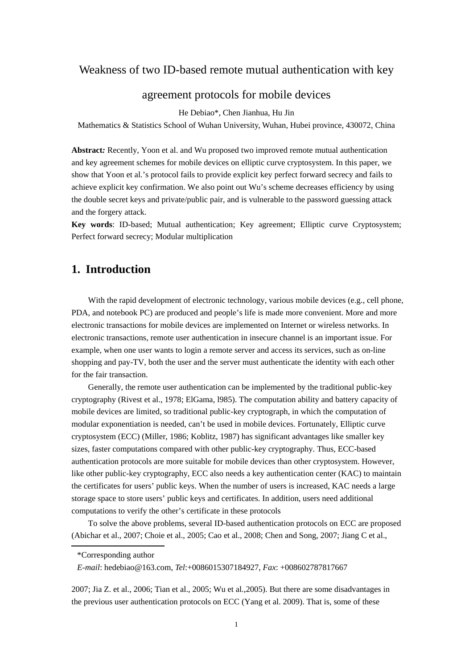# Weakness of two ID-based remote mutual authentication with key

# agreement protocols for mobile devices

He Debiao\*, Chen Jianhua, Hu Jin

Mathematics & Statistics School of Wuhan University, Wuhan, Hubei province, 430072, China

**Abstract***:* Recently, Yoon et al. and Wu proposed two improved remote mutual authentication and key agreement schemes for mobile devices on elliptic curve cryptosystem. In this paper, we show that Yoon et al.'s protocol fails to provide explicit key perfect forward secrecy and fails to achieve explicit key confirmation. We also point out Wu's scheme decreases efficiency by using the double secret keys and private/public pair, and is vulnerable to the password guessing attack and the forgery attack.

**Key words**: ID-based; Mutual authentication; Key agreement; Elliptic curve Cryptosystem; Perfect forward secrecy; Modular multiplication

# **1. Introduction**

With the rapid development of electronic technology, various mobile devices (e.g., cell phone, PDA, and notebook PC) are produced and people's life is made more convenient. More and more electronic transactions for mobile devices are implemented on Internet or wireless networks. In electronic transactions, remote user authentication in insecure channel is an important issue. For example, when one user wants to login a remote server and access its services, such as on-line shopping and pay-TV, both the user and the server must authenticate the identity with each other for the fair transaction.

Generally, the remote user authentication can be implemented by the traditional public-key cryptography (Rivest et al., 1978; ElGama, l985). The computation ability and battery capacity of mobile devices are limited, so traditional public-key cryptograph, in which the computation of modular exponentiation is needed, can't be used in mobile devices. Fortunately, Elliptic curve cryptosystem (ECC) (Miller, 1986; Koblitz, 1987) has significant advantages like smaller key sizes, faster computations compared with other public-key cryptography. Thus, ECC-based authentication protocols are more suitable for mobile devices than other cryptosystem. However, like other public-key cryptography, ECC also needs a key authentication center (KAC) to maintain the certificates for users' public keys. When the number of users is increased, KAC needs a large storage space to store users' public keys and certificates. In addition, users need additional computations to verify the other's certificate in these protocols

To solve the above problems, several ID-based authentication protocols on ECC are proposed (Abichar et al., 2007; Choie et al., 2005; Cao et al., 2008; Chen and Song, 2007; Jiang C et al.,

2007; Jia Z. et al., 2006; Tian et al., 2005; Wu et al.,2005). But there are some disadvantages in the previous user authentication protocols on ECC (Yang et al. 2009). That is, some of these

<sup>\*</sup>Corresponding author

*E-mail*: hedebiao@163.com, *Tel*:+0086015307184927, *Fax*: +008602787817667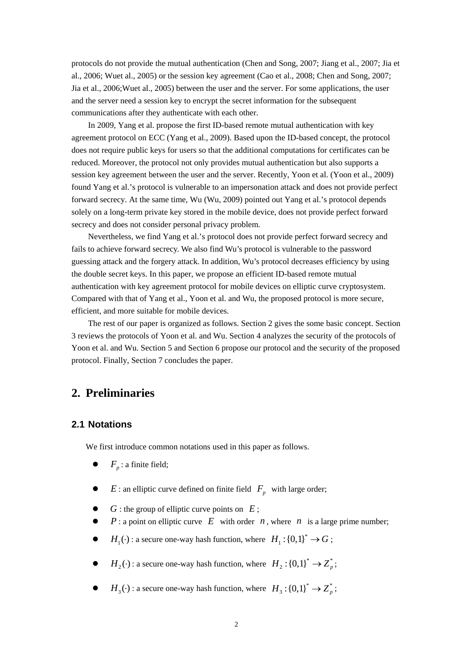protocols do not provide the mutual authentication (Chen and Song, 2007; Jiang et al., 2007; Jia et al., 2006; Wuet al., 2005) or the session key agreement (Cao et al., 2008; Chen and Song, 2007; Jia et al., 2006;Wuet al., 2005) between the user and the server. For some applications, the user and the server need a session key to encrypt the secret information for the subsequent communications after they authenticate with each other.

In 2009, Yang et al. propose the first ID-based remote mutual authentication with key agreement protocol on ECC (Yang et al., 2009). Based upon the ID-based concept, the protocol does not require public keys for users so that the additional computations for certificates can be reduced. Moreover, the protocol not only provides mutual authentication but also supports a session key agreement between the user and the server. Recently, Yoon et al. (Yoon et al., 2009) found Yang et al.'s protocol is vulnerable to an impersonation attack and does not provide perfect forward secrecy. At the same time, Wu (Wu, 2009) pointed out Yang et al.'s protocol depends solely on a long-term private key stored in the mobile device, does not provide perfect forward secrecy and does not consider personal privacy problem.

Nevertheless, we find Yang et al.'s protocol does not provide perfect forward secrecy and fails to achieve forward secrecy. We also find Wu's protocol is vulnerable to the password guessing attack and the forgery attack. In addition, Wu's protocol decreases efficiency by using the double secret keys. In this paper, we propose an efficient ID-based remote mutual authentication with key agreement protocol for mobile devices on elliptic curve cryptosystem. Compared with that of Yang et al., Yoon et al. and Wu, the proposed protocol is more secure, efficient, and more suitable for mobile devices.

The rest of our paper is organized as follows. Section 2 gives the some basic concept. Section 3 reviews the protocols of Yoon et al. and Wu. Section 4 analyzes the security of the protocols of Yoon et al. and Wu. Section 5 and Section 6 propose our protocol and the security of the proposed protocol. Finally, Section 7 concludes the paper.

# **2. Preliminaries**

## **2.1 Notations**

We first introduce common notations used in this paper as follows.

- $F_n$ : a finite field;
- $\bullet$  *E* : an elliptic curve defined on finite field  $F_p$  with large order;
- $\bullet$  *G* : the group of elliptic curve points on *E* :
- $P: a$  point on elliptic curve  $E$  with order  $n$ , where  $n$  is a large prime number;
- $H_1(\cdot)$ : a secure one-way hash function, where  $H_1$ : {0,1}<sup>\*</sup>  $\rightarrow G$ ;
- $H_2(\cdot)$ : a secure one-way hash function, where  $H_2$ : {0,1}<sup>\*</sup>  $\rightarrow Z_p^*$ ;
- $H_3(\cdot)$ : a secure one-way hash function, where  $H_3$ : {0,1}<sup>\*</sup>  $\rightarrow Z_p^*$ ;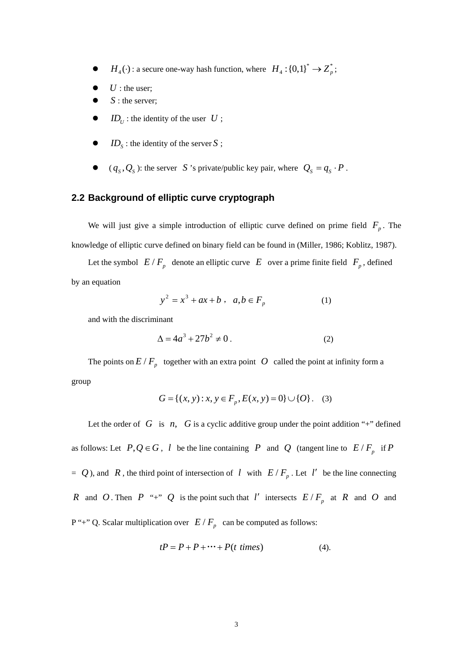- $H_4(\cdot)$ : a secure one-way hash function, where  $H_4: \{0,1\}^* \to Z_p^*$ ;
- $U$  : the user;
- S : the server;
- $ID_{U}$ : the identity of the user  $U$ ;
- $ID_s$ : the identity of the server *S*;
- $(q_S, Q_S)$ : the server *S* 's private/public key pair, where  $Q_S = q_S \cdot P$ .

## **2.2 Background of elliptic curve cryptograph**

We will just give a simple introduction of elliptic curve defined on prime field  $F_p$ . The knowledge of elliptic curve defined on binary field can be found in (Miller, 1986; Koblitz, 1987).

Let the symbol  $E/F_p$  denote an elliptic curve *E* over a prime finite field  $F_p$ , defined by an equation

$$
y^2 = x^3 + ax + b \ , \ a, b \in F_p \tag{1}
$$

and with the discriminant

$$
\Delta = 4a^3 + 27b^2 \neq 0 \,. \tag{2}
$$

The points on  $E / F_p$  together with an extra point *O* called the point at infinity form a group

$$
G = \{(x, y) : x, y \in F_p, E(x, y) = 0\} \cup \{O\}.
$$
 (3)

Let the order of  $G$  is  $n$ ,  $G$  is a cyclic additive group under the point addition "+" defined as follows: Let  $P, Q \in G$ , *l* be the line containing *P* and *Q* (tangent line to  $E/F_p$  if *P*  $= Q$ ), and *R*, the third point of intersection of *l* with  $E/F_p$ . Let *l'* be the line connecting *R* and *O*. Then *P* "+" *Q* is the point such that *l'* intersects  $E/F_p$  at *R* and *O* and  $P'' +''$  Q. Scalar multiplication over  $E / F_p$  can be computed as follows:

$$
tP = P + P + \cdots + P(t \text{ times})
$$
 (4).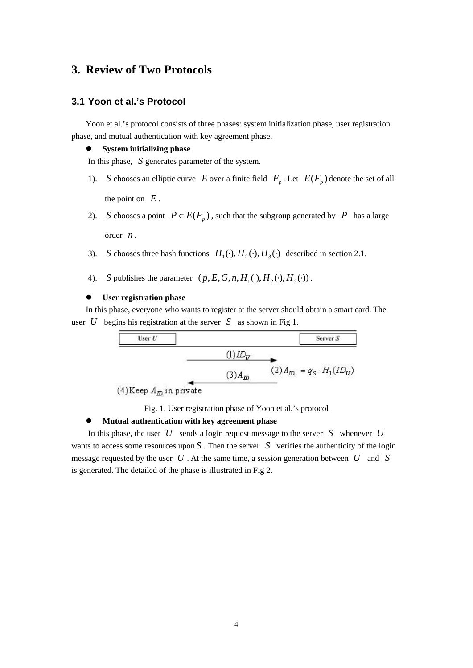# **3. Review of Two Protocols**

## **3.1 Yoon et al.'s Protocol**

Yoon et al.'s protocol consists of three phases: system initialization phase, user registration phase, and mutual authentication with key agreement phase.

#### $\bullet$  System initializing phase

In this phase, *S* generates parameter of the system.

- 1). *S* chooses an elliptic curve *E* over a finite field  $F_p$ . Let  $E(F_p)$  denote the set of all the point on  $E$ .
- 2). *S* chooses a point  $P \in E(F_p)$ , such that the subgroup generated by *P* has a large order *n* .
- 3). *S* chooses three hash functions  $H_1(\cdot), H_2(\cdot), H_3(\cdot)$  described in section 2.1.
- 4). *S* publishes the parameter  $(p, E, G, n, H_1(\cdot), H_2(\cdot), H_3(\cdot))$ .

#### **User registration phase**

In this phase, everyone who wants to register at the server should obtain a smart card. The user *U* begins his registration at the server *S* as shown in Fig 1.



Fig. 1. User registration phase of Yoon et al.'s protocol

#### **Mutual authentication with key agreement phase**

In this phase, the user *U* sends a login request message to the server *S* whenever *U* wants to access some resources upon  $S$ . Then the server  $S$  verifies the authenticity of the login message requested by the user *U* . At the same time, a session generation between *U* and *S* is generated. The detailed of the phase is illustrated in Fig 2.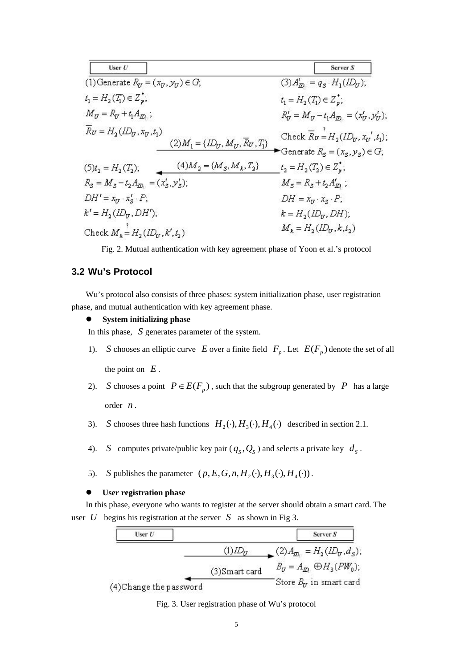| User U                                                                                    | Server S                                                                    |
|-------------------------------------------------------------------------------------------|-----------------------------------------------------------------------------|
| (1) Generate $R_y = (x_y, y_y) \in G$ ,                                                   | $(3)A'_{\text{D}} = q_{s} \cdot H_1(ID_{\text{U}});$                        |
| $t_1 = H_2(T_1) \in Z_p^*$ ;                                                              | $t_1 = H_2(T_1) \in Z_{\nu}^*$ ;                                            |
| $M_U = R_U + t_1 A_{ID}$ ;                                                                | $R'_U = M_U - t_1 A_{ID} = (x'_U, y'_U),$                                   |
| $\overline{R}_U = H_2 (I\!D_U, x_U, t_1)$<br>$(2)M_1 = \{ID_U, M_U, \overline{R}U, T_1\}$ | Check $\overline{R}_U=H_2(ID_U, x_U{}', t_1);$                              |
| $(4)M_2 = {M_S, M_k, T_2}$<br>$(5)t_2 = H_2(T_2);$                                        | Generate $R_s = (x_s, y_s) \in G$ ;<br>$t_2 = H_2(T_2) \in Z_g^{\bullet}$ ; |
| $R_s = M_s - t_2 A_{\overline{D}_s} = (x'_s, y'_s);$                                      | $M_{s} = R_{s} + t_{2} A'_{m}$ ;                                            |
| $DH' = x_U \cdot x_S' \cdot P$ ;                                                          | $DH = x_U \cdot x_S \cdot P$ ;                                              |
| $k' = H_2(ID_U, DH'),$                                                                    | $k = H_2(ID_U, DH);$                                                        |
| Check $M_k = H_2(ID_U, k', t_2)$                                                          | $M_k=H_2(ID_U,k,t_2)$                                                       |

Fig. 2. Mutual authentication with key agreement phase of Yoon et al.'s protocol

## **3.2 Wu's Protocol**

Wu's protocol also consists of three phases: system initialization phase, user registration phase, and mutual authentication with key agreement phase.

#### z **System initializing phase**

In this phase, *S* generates parameter of the system.

- 1). *S* chooses an elliptic curve *E* over a finite field  $F_p$ . Let  $E(F_p)$  denote the set of all the point on  $E$ .
- 2). *S* chooses a point  $P \in E(F_n)$ , such that the subgroup generated by *P* has a large order *n* .
- 3). *S* chooses three hash functions  $H_2(\cdot), H_3(\cdot), H_4(\cdot)$  described in section 2.1.
- 4). *S* computes private/public key pair  $(q_S, Q_S)$  and selects a private key  $d_S$ .
- 5). *S* publishes the parameter  $(p, E, G, n, H_2(\cdot), H_3(\cdot), H_4(\cdot))$ .

#### z **User registration phase**

In this phase, everyone who wants to register at the server should obtain a smart card. The user *U* begins his registration at the server *S* as shown in Fig 3.



Fig. 3. User registration phase of Wu's protocol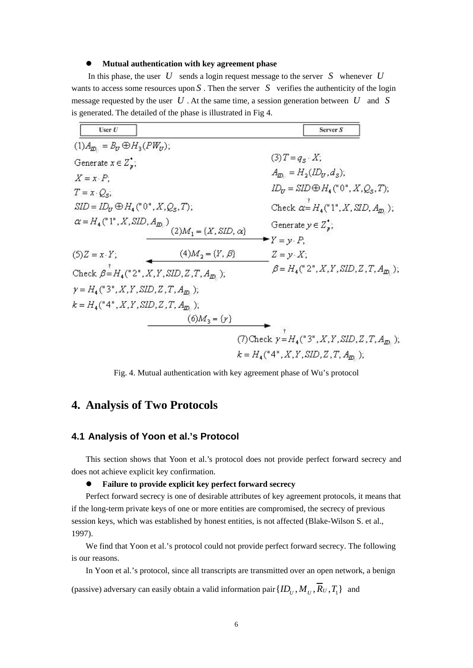#### **Mutual authentication with key agreement phase**

In this phase, the user  $U$  sends a login request message to the server  $S$  whenever  $U$ wants to access some resources upon  $S$ . Then the server  $S$  verifies the authenticity of the login message requested by the user *U* . At the same time, a session generation between *U* and *S* is generated. The detailed of the phase is illustrated in Fig 4.

| User $U$                                   |                                                      | Server S                                                                                                          |
|--------------------------------------------|------------------------------------------------------|-------------------------------------------------------------------------------------------------------------------|
| $(1)A_{D} = B_U \oplus H_3(PW_U);$         |                                                      |                                                                                                                   |
| Generate $x \in Z^*$ ;                     |                                                      | $(3)T = q_s \cdot X;$                                                                                             |
| $X = x \cdot P$ ;                          |                                                      | $A_{ID} = H_2(ID_U, d_S);$                                                                                        |
| $T = x \cdot Q_{\rm s}$ ;                  |                                                      | $ID_{\mathcal{U}} = \mathcal{S} \mathcal{I} \mathcal{D} \oplus H_{4} (^{\circ}0^{\circ}, X, Q_{\mathcal{S}}, T);$ |
| $SID = IDU \oplus H4(n0n, X, Qs, T);$      |                                                      | Check $\alpha = H_4("1", X, \text{SID}, A_m)$ ;                                                                   |
| $\alpha = H_4("1", X, SID, A_{ID_1})$      | $(2)M_1 = \{X, SID, \alpha\}$                        | Generate $y \in Z_{\nu}$ ;                                                                                        |
|                                            |                                                      | $\blacktriangleright$ $Y = y \cdot P$ ,                                                                           |
| $(5)Z = x \cdot Y$ ;                       | $(4)M_2 = \{Y, \beta\}$                              | $Z = y \cdot X$ ;                                                                                                 |
|                                            | Check $\beta = H_4("2", X, Y, SID, Z, T, A_{ID.})$ ; | $\beta = H_4("2", X, Y, SID, Z, T, A_m);$                                                                         |
| $\gamma = H_4("3", X, Y, SID, Z, T, A_m);$ |                                                      |                                                                                                                   |
| $k = H_4("4", X, Y, SID, Z, T, A_m);$      |                                                      |                                                                                                                   |
|                                            | $(6)M_{3} = \{\gamma\}$                              |                                                                                                                   |
|                                            |                                                      | (7) Check $\gamma = H_4("3", X, Y, SID, Z, T, A_{ID}, )$ ;                                                        |
|                                            |                                                      | $k = H_4("4", X, Y, SID, Z, T, A_m);$                                                                             |

Fig. 4. Mutual authentication with key agreement phase of Wu's protocol

# **4. Analysis of Two Protocols**

### **4.1 Analysis of Yoon et al.'s Protocol**

This section shows that Yoon et al.'s protocol does not provide perfect forward secrecy and does not achieve explicit key confirmation.

## **•** Failure to provide explicit key perfect forward secrecy

Perfect forward secrecy is one of desirable attributes of key agreement protocols, it means that if the long-term private keys of one or more entities are compromised, the secrecy of previous session keys, which was established by honest entities, is not affected (Blake-Wilson S. et al., 1997).

We find that Yoon et al.'s protocol could not provide perfect forward secrecy. The following is our reasons.

In Yoon et al.'s protocol, since all transcripts are transmitted over an open network, a benign

(passive) adversary can easily obtain a valid information pair  $\{ID_U, M_U, \overline{R}_U, T_1\}$  and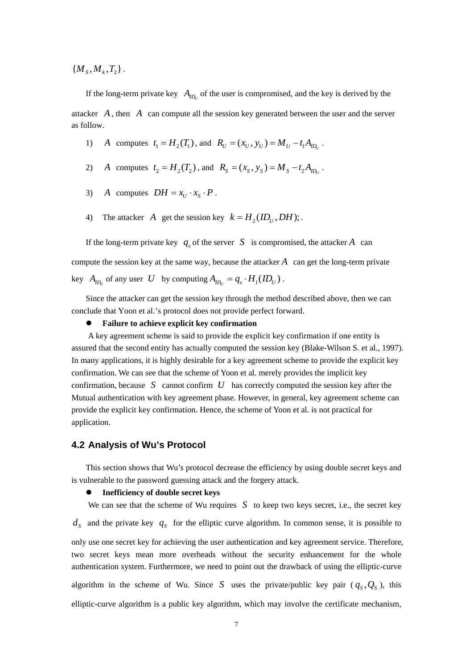${ M<sub>k</sub>, M<sub>k</sub>, T<sub>2</sub> }$ .

If the long-term private key  $A_{ID}$  of the user is compromised, and the key is derived by the attacker *A* , then *A* can compute all the session key generated between the user and the server as follow.

- 1) *A* computes  $t_1 = H_2(T_1)$ , and  $R_U = (x_U, y_U) = M_U t_1 A_{U}$ .
- 2) *A* computes  $t_2 = H_2(T_2)$ , and  $R_s = (x_s, y_s) = M_s t_2 A_{m_i}$ .
- 3) *A* computes  $DH = x_{U} \cdot x_{S} \cdot P$ .
- 4) The attacker *A* get the session key  $k = H_1(ID_i, DH);$

If the long-term private key  $q_s$  of the server *S* is compromised, the attacker *A* can compute the session key at the same way, because the attacker *A* can get the long-term private key  $A_{ID}$  of any user *U* by computing  $A_{ID} = q_s \cdot H_1(ID_U)$ .

Since the attacker can get the session key through the method described above, then we can conclude that Yoon et al.'s protocol does not provide perfect forward.

#### **•** Failure to achieve explicit key confirmation

A key agreement scheme is said to provide the explicit key confirmation if one entity is assured that the second entity has actually computed the session key (Blake-Wilson S. et al., 1997). In many applications, it is highly desirable for a key agreement scheme to provide the explicit key confirmation. We can see that the scheme of Yoon et al. merely provides the implicit key confirmation, because *S* cannot confirm *U* has correctly computed the session key after the Mutual authentication with key agreement phase. However, in general, key agreement scheme can provide the explicit key confirmation. Hence, the scheme of Yoon et al. is not practical for application.

### **4.2 Analysis of Wu's Protocol**

This section shows that Wu's protocol decrease the efficiency by using double secret keys and is vulnerable to the password guessing attack and the forgery attack.

#### z **Inefficiency of double secret keys**

We can see that the scheme of Wu requires  $S$  to keep two keys secret, i.e., the secret key  $d_s$  and the private key  $q_s$  for the elliptic curve algorithm. In common sense, it is possible to only use one secret key for achieving the user authentication and key agreement service. Therefore, two secret keys mean more overheads without the security enhancement for the whole authentication system. Furthermore, we need to point out the drawback of using the elliptic-curve algorithm in the scheme of Wu. Since *S* uses the private/public key pair  $(q_s, Q_s)$ , this elliptic-curve algorithm is a public key algorithm, which may involve the certificate mechanism,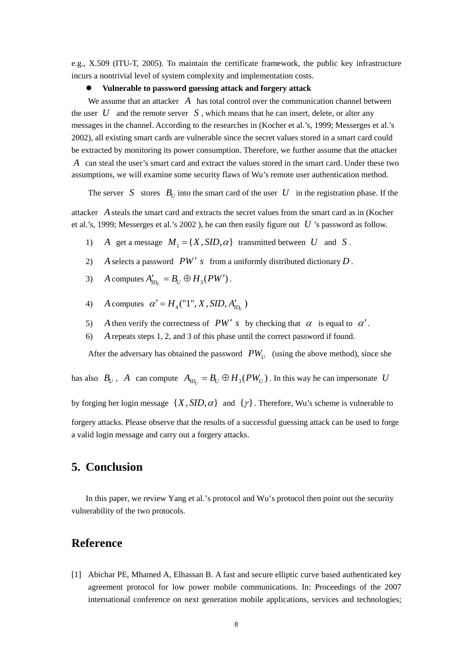e.g., X.509 (ITU-T, 2005). To maintain the certificate framework, the public key infrastructure incurs a nontrivial level of system complexity and implementation costs.

#### z **Vulnerable to password guessing attack and forgery attack**

We assume that an attacker A has total control over the communication channel between the user  $U$  and the remote server  $S$ , which means that he can insert, delete, or alter any messages in the channel. According to the researches in (Kocher et al.'s, 1999; Messerges et al.'s 2002), all existing smart cards are vulnerable since the secret values stored in a smart card could be extracted by monitoring its power consumption. Therefore, we further assume that the attacker *A* can steal the user's smart card and extract the values stored in the smart card. Under these two assumptions, we will examine some security flaws of Wu's remote user authentication method.

The server *S* stores  $B_U$  into the smart card of the user *U* in the registration phase. If the

attacker *A* steals the smart card and extracts the secret values from the smart card as in (Kocher et al.'s, 1999; Messerges et al.'s 2002 ), he can then easily figure out *U* 's password as follow.

- 1) *A* get a message  $M_1 = \{X, SID, \alpha\}$  transmitted between *U* and *S*.
- 2) *A* selects a password  $PW'$  *s* from a uniformly distributed dictionary  $D$ .
- 3) *A* computes  $A'_{ID_i} = B_U \oplus H_3(PW')$ .
- 4) *A* computes  $\alpha' = H_4("1", X, SID, A'_{ID_1})$
- 5) *A* then verify the correctness of *PW' s* by checking that  $\alpha$  is equal to  $\alpha'$ .
- 6) *A* repeats steps 1, 2, and 3 of this phase until the correct password if found.

After the adversary has obtained the password  $PW_{U}$  (using the above method), since she

has also  $B_U$ , *A* can compute  $A_{ID_U} = B_U \oplus H_3(PW_U)$ . In this way he can impersonate *U* 

by forging her login message  $\{X, SID, \alpha\}$  and  $\{\gamma\}$ . Therefore, Wu's scheme is vulnerable to

forgery attacks. Please observe that the results of a successful guessing attack can be used to forge a valid login message and carry out a forgery attacks.

# **5. Conclusion**

In this paper, we review Yang et al.'s protocol and Wu's protocol then point out the security vulnerability of the two protocols.

## **Reference**

[1] Abichar PE, Mhamed A, Elhassan B. A fast and secure elliptic curve based authenticated key agreement protocol for low power mobile communications. In: Proceedings of the 2007 international conference on next generation mobile applications, services and technologies;